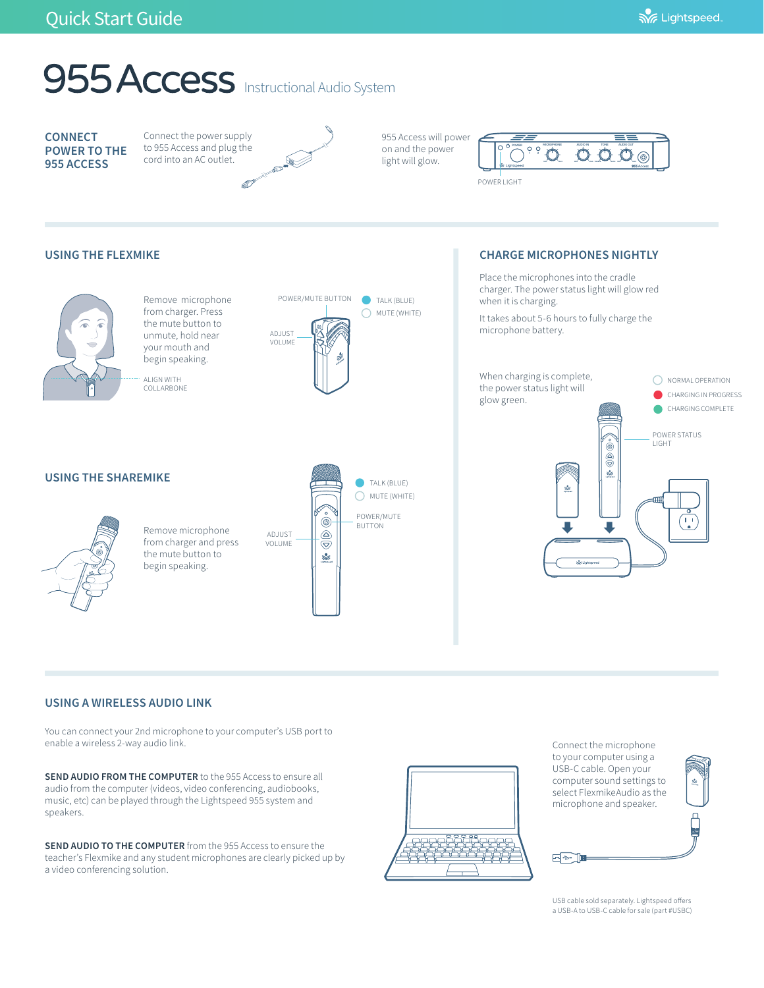# 955 Access Instructional Audio System

#### **CONNECT POWER TO THE 955 ACCESS**

Connect the power supply to 955 Access and plug the cord into an AC outlet.



955 Access will power on and the power light will glow.

TALK (BLUE)





Remove microphone from charger. Press the mute button to unmute, hold near your mouth and begin speaking.

ALIGN WITH COLLARBONE



### **USING THE FLEXMIKE CHARGE MICROPHONES NIGHTLY**

Place the microphones into the cradle charger. The power status light will glow red when it is charging.

It takes about 5-6 hours to fully charge the microphone battery.



#### **USING THE SHAREMIKE**



Remove microphone from charger and press the mute button to begin speaking.



## **USING A WIRELESS AUDIO LINK**

You can connect your 2nd microphone to your computer's USB port to enable a wireless 2-way audio link.

**SEND AUDIO FROM THE COMPUTER** to the 955 Access to ensure all audio from the computer (videos, video conferencing, audiobooks, music, etc) can be played through the Lightspeed 955 system and speakers.

**SEND AUDIO TO THE COMPUTER** from the 955 Access to ensure the teacher's Flexmike and any student microphones are clearly picked up by a video conferencing solution.



Connect the microphone to your computer using a USB-C cable. Open your computer sound settings to select FlexmikeAudio as the microphone and speaker.

**E** ~



USB cable sold separately. Lightspeed offers a USB-A to USB-C cable for sale (part #USBC)